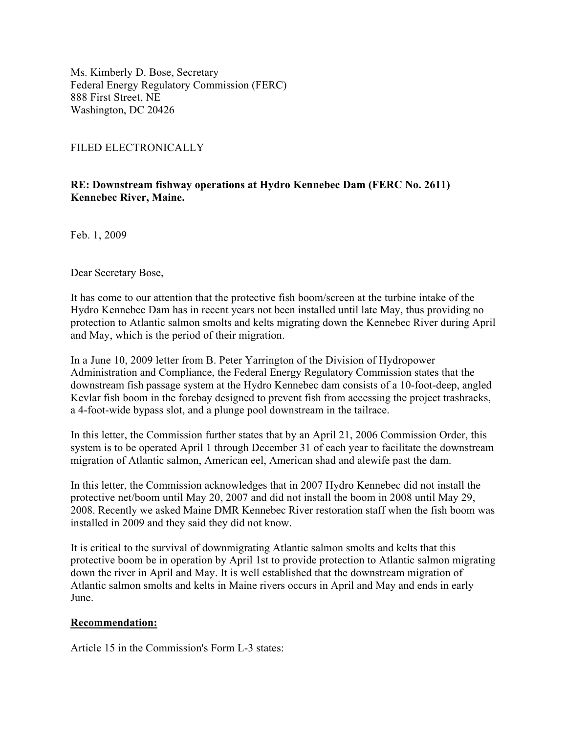Ms. Kimberly D. Bose, Secretary Federal Energy Regulatory Commission (FERC) 888 First Street, NE Washington, DC 20426

## FILED ELECTRONICALLY

## **RE: Downstream fishway operations at Hydro Kennebec Dam (FERC No. 2611) Kennebec River, Maine.**

Feb. 1, 2009

Dear Secretary Bose,

It has come to our attention that the protective fish boom/screen at the turbine intake of the Hydro Kennebec Dam has in recent years not been installed until late May, thus providing no protection to Atlantic salmon smolts and kelts migrating down the Kennebec River during April and May, which is the period of their migration.

In a June 10, 2009 letter from B. Peter Yarrington of the Division of Hydropower Administration and Compliance, the Federal Energy Regulatory Commission states that the downstream fish passage system at the Hydro Kennebec dam consists of a 10-foot-deep, angled Kevlar fish boom in the forebay designed to prevent fish from accessing the project trashracks, a 4-foot-wide bypass slot, and a plunge pool downstream in the tailrace.

In this letter, the Commission further states that by an April 21, 2006 Commission Order, this system is to be operated April 1 through December 31 of each year to facilitate the downstream migration of Atlantic salmon, American eel, American shad and alewife past the dam.

In this letter, the Commission acknowledges that in 2007 Hydro Kennebec did not install the protective net/boom until May 20, 2007 and did not install the boom in 2008 until May 29, 2008. Recently we asked Maine DMR Kennebec River restoration staff when the fish boom was installed in 2009 and they said they did not know.

It is critical to the survival of downmigrating Atlantic salmon smolts and kelts that this protective boom be in operation by April 1st to provide protection to Atlantic salmon migrating down the river in April and May. It is well established that the downstream migration of Atlantic salmon smolts and kelts in Maine rivers occurs in April and May and ends in early June.

## **Recommendation:**

Article 15 in the Commission's Form L-3 states: